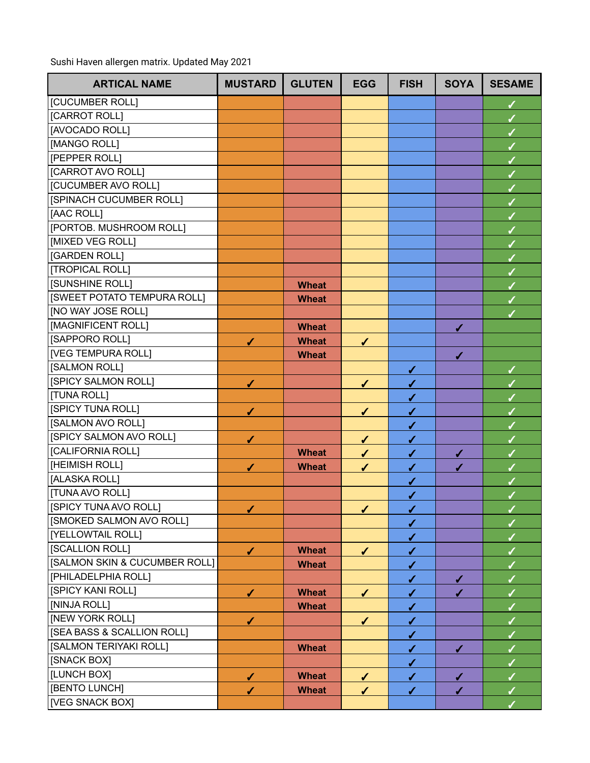Sushi Haven allergen matrix. Updated May 2021

| <b>ARTICAL NAME</b>           | <b>MUSTARD</b> | <b>GLUTEN</b> | <b>EGG</b>   | <b>FISH</b>  | <b>SOYA</b>  | <b>SESAME</b> |
|-------------------------------|----------------|---------------|--------------|--------------|--------------|---------------|
| [CUCUMBER ROLL]               |                |               |              |              |              | $\checkmark$  |
| [CARROT ROLL]                 |                |               |              |              |              |               |
| [AVOCADO ROLL]                |                |               |              |              |              |               |
| [MANGO ROLL]                  |                |               |              |              |              |               |
| [PEPPER ROLL]                 |                |               |              |              |              |               |
| [CARROT AVO ROLL]             |                |               |              |              |              | ✔             |
| [CUCUMBER AVO ROLL]           |                |               |              |              |              |               |
| [SPINACH CUCUMBER ROLL]       |                |               |              |              |              |               |
| [AAC ROLL]                    |                |               |              |              |              | $\checkmark$  |
| [PORTOB. MUSHROOM ROLL]       |                |               |              |              |              |               |
| [MIXED VEG ROLL]              |                |               |              |              |              | ✔             |
| [GARDEN ROLL]                 |                |               |              |              |              |               |
| [TROPICAL ROLL]               |                |               |              |              |              |               |
| <b>[SUNSHINE ROLL]</b>        |                | <b>Wheat</b>  |              |              |              |               |
| [SWEET POTATO TEMPURA ROLL]   |                | <b>Wheat</b>  |              |              |              |               |
| [NO WAY JOSE ROLL]            |                |               |              |              |              |               |
| [MAGNIFICENT ROLL]            |                | <b>Wheat</b>  |              |              | ✔            |               |
| [SAPPORO ROLL]                | $\checkmark$   | <b>Wheat</b>  | ✔            |              |              |               |
| <b>[VEG TEMPURA ROLL]</b>     |                | <b>Wheat</b>  |              |              | ✔            |               |
| [SALMON ROLL]                 |                |               |              | ✔            |              | ✓             |
| [SPICY SALMON ROLL]           | $\checkmark$   |               | $\checkmark$ | $\checkmark$ |              |               |
| [TUNA ROLL]                   |                |               |              | $\checkmark$ |              |               |
| <b>ISPICY TUNA ROLL]</b>      | $\checkmark$   |               | ✔            | $\checkmark$ |              |               |
| [SALMON AVO ROLL]             |                |               |              | $\checkmark$ |              |               |
| [SPICY SALMON AVO ROLL]       | $\checkmark$   |               | $\checkmark$ | $\checkmark$ |              |               |
| [CALIFORNIA ROLL]             |                | <b>Wheat</b>  | ✓            | $\checkmark$ | ✔            |               |
| [HEIMISH ROLL]                | ✔              | <b>Wheat</b>  | ✔            | $\checkmark$ | ✔            |               |
| [ALASKA ROLL]                 |                |               |              | $\checkmark$ |              |               |
| [TUNA AVO ROLL]               |                |               |              | ✔            |              |               |
| [SPICY TUNA AVO ROLL]         | ✔              |               | ✔            | $\checkmark$ |              |               |
| [SMOKED SALMON AVO ROLL]      |                |               |              | $\checkmark$ |              |               |
| [YELLOWTAIL ROLL]             |                |               |              | $\checkmark$ |              |               |
| [SCALLION ROLL]               | $\checkmark$   | <b>Wheat</b>  | $\sqrt{2}$   | $\checkmark$ |              |               |
| [SALMON SKIN & CUCUMBER ROLL] |                | <b>Wheat</b>  |              | $\checkmark$ |              |               |
| [PHILADELPHIA ROLL]           |                |               |              | $\checkmark$ | $\checkmark$ |               |
| [SPICY KANI ROLL]             | $\checkmark$   | <b>Wheat</b>  | $\checkmark$ | $\checkmark$ | ✔            |               |
| [NINJA ROLL]                  |                | <b>Wheat</b>  |              | $\checkmark$ |              |               |
| [NEW YORK ROLL]               | ✔              |               | $\sqrt{ }$   | $\checkmark$ |              |               |
| [SEA BASS & SCALLION ROLL]    |                |               |              | ✔            |              |               |
| [SALMON TERIYAKI ROLL]        |                | <b>Wheat</b>  |              | $\checkmark$ | ✔            |               |
| [SNACK BOX]                   |                |               |              | $\checkmark$ |              |               |
| [LUNCH BOX]                   | $\checkmark$   | <b>Wheat</b>  | $\checkmark$ | $\checkmark$ | $\checkmark$ | $\checkmark$  |
| [BENTO LUNCH]                 | ✓              | <b>Wheat</b>  | ✔            | ✔            | ✔            | $\checkmark$  |
| [VEG SNACK BOX]               |                |               |              |              |              |               |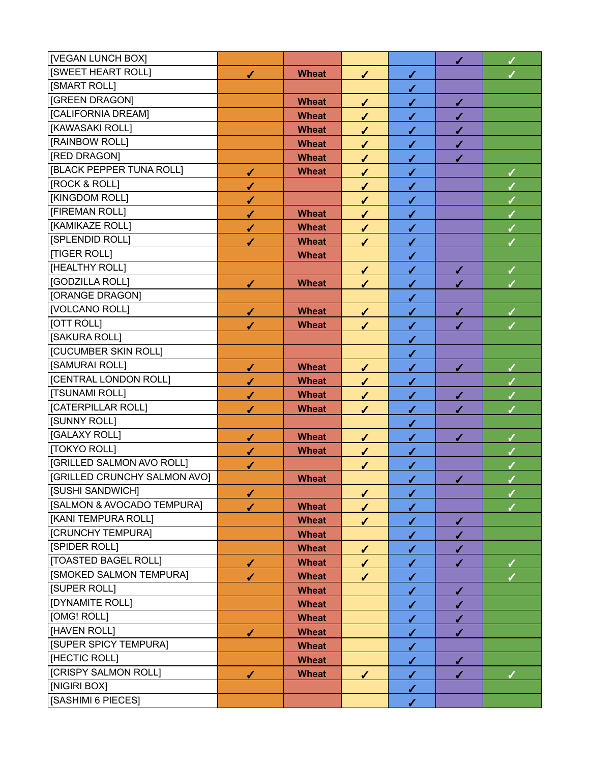| [VEGAN LUNCH BOX]                |              |              |              |              | $\checkmark$ | $\checkmark$ |
|----------------------------------|--------------|--------------|--------------|--------------|--------------|--------------|
| <b>[SWEET HEART ROLL]</b>        | $\checkmark$ | <b>Wheat</b> | $\sqrt{2}$   | $\sqrt{2}$   |              |              |
| [SMART ROLL]                     |              |              |              | $\checkmark$ |              |              |
| [GREEN DRAGON]                   |              | <b>Wheat</b> | $\checkmark$ | $\checkmark$ | $\checkmark$ |              |
| [CALIFORNIA DREAM]               |              | <b>Wheat</b> | $\checkmark$ | $\checkmark$ | $\checkmark$ |              |
| [KAWASAKI ROLL]                  |              | <b>Wheat</b> | $\checkmark$ | $\checkmark$ | $\checkmark$ |              |
| [RAINBOW ROLL]                   |              | <b>Wheat</b> | $\checkmark$ | $\checkmark$ | $\checkmark$ |              |
| [RED DRAGON]                     |              | <b>Wheat</b> | $\checkmark$ | $\checkmark$ | ✔            |              |
| <b>IBLACK PEPPER TUNA ROLL1</b>  | $\checkmark$ | <b>Wheat</b> | $\sqrt{ }$   | $\checkmark$ |              |              |
| <b>[ROCK &amp; ROLL]</b>         | $\checkmark$ |              | $\checkmark$ | $\checkmark$ |              |              |
| [KINGDOM ROLL]                   | $\checkmark$ |              | $\checkmark$ | $\checkmark$ |              | $\sqrt{2}$   |
| [FIREMAN ROLL]                   | $\checkmark$ | <b>Wheat</b> | $\checkmark$ | $\checkmark$ |              |              |
| [KAMIKAZE ROLL]                  | $\checkmark$ | <b>Wheat</b> | $\checkmark$ | $\checkmark$ |              | $\checkmark$ |
| [SPLENDID ROLL]                  | ✔            | <b>Wheat</b> | $\checkmark$ | $\checkmark$ |              |              |
| [TIGER ROLL]                     |              | <b>Wheat</b> |              | $\checkmark$ |              |              |
| [HEALTHY ROLL]                   |              |              | $\checkmark$ | $\checkmark$ | ✔            | $\checkmark$ |
| [GODZILLA ROLL]                  | $\checkmark$ | <b>Wheat</b> | $\checkmark$ | $\checkmark$ | ✔            |              |
| [ORANGE DRAGON]                  |              |              |              | $\checkmark$ |              |              |
| [VOLCANO ROLL]                   | $\checkmark$ | <b>Wheat</b> | $\checkmark$ | $\checkmark$ | $\checkmark$ | $\checkmark$ |
| [OTT ROLL]                       | $\checkmark$ | <b>Wheat</b> | $\checkmark$ | $\checkmark$ | ✓            |              |
| [SAKURA ROLL]                    |              |              |              | ✔            |              |              |
| [CUCUMBER SKIN ROLL]             |              |              |              | $\checkmark$ |              |              |
| [SAMURAI ROLL]                   | $\checkmark$ | <b>Wheat</b> | $\checkmark$ | $\checkmark$ | $\checkmark$ | $\checkmark$ |
| [CENTRAL LONDON ROLL]            | $\checkmark$ | <b>Wheat</b> | $\checkmark$ | $\checkmark$ |              |              |
| <b>[TSUNAMI ROLL]</b>            | $\checkmark$ | <b>Wheat</b> | $\checkmark$ | $\checkmark$ | ✔            | $\checkmark$ |
| [CATERPILLAR ROLL]               | ✔            | <b>Wheat</b> | $\checkmark$ | $\checkmark$ | ✔            |              |
| [SUNNY ROLL]                     |              |              |              | $\checkmark$ |              |              |
| [GALAXY ROLL]                    | $\checkmark$ | <b>Wheat</b> | $\checkmark$ | $\checkmark$ | ✔            | ✓            |
| [TOKYO ROLL]                     | $\checkmark$ | <b>Wheat</b> | $\checkmark$ | $\checkmark$ |              |              |
| <b>[GRILLED SALMON AVO ROLL]</b> | $\checkmark$ |              | $\checkmark$ | $\checkmark$ |              | Í            |
| [GRILLED CRUNCHY SALMON AVO]     |              | <b>Wheat</b> |              | $\checkmark$ | $\checkmark$ |              |
| [SUSHI SANDWICH]                 | $\checkmark$ |              | $\checkmark$ | $\checkmark$ |              | $\checkmark$ |
| [SALMON & AVOCADO TEMPURA]       | ✔            | <b>Wheat</b> | ✔            | $\checkmark$ |              |              |
| [KANI TEMPURA ROLL]              |              | <b>Wheat</b> | $\checkmark$ | $\checkmark$ | ✔            |              |
| [CRUNCHY TEMPURA]                |              | <b>Wheat</b> |              | $\checkmark$ | $\checkmark$ |              |
| [SPIDER ROLL]                    |              | <b>Wheat</b> | $\checkmark$ | $\checkmark$ | ✔            |              |
| [TOASTED BAGEL ROLL]             | $\checkmark$ | <b>Wheat</b> | $\checkmark$ | $\checkmark$ | ✔            | ✓            |
| [SMOKED SALMON TEMPURA]          | ✓            | <b>Wheat</b> | ✔            | ✔            |              |              |
| [SUPER ROLL]                     |              | <b>Wheat</b> |              | $\checkmark$ | ✓            |              |
| <b>[DYNAMITE ROLL]</b>           |              | <b>Wheat</b> |              | ✔            | ✔            |              |
| [OMG! ROLL]                      |              | <b>Wheat</b> |              | $\checkmark$ | ✔            |              |
| [HAVEN ROLL]                     | $\checkmark$ | <b>Wheat</b> |              | $\checkmark$ | ✔            |              |
| [SUPER SPICY TEMPURA]            |              | <b>Wheat</b> |              | $\checkmark$ |              |              |
| [HECTIC ROLL]                    |              | <b>Wheat</b> |              | $\checkmark$ | ✔            |              |
| [CRISPY SALMON ROLL]             | $\checkmark$ | <b>Wheat</b> | $\checkmark$ | $\checkmark$ | ✔            | $\checkmark$ |
| [NIGIRI BOX]                     |              |              |              | $\checkmark$ |              |              |
| [SASHIMI 6 PIECES]               |              |              |              | $\checkmark$ |              |              |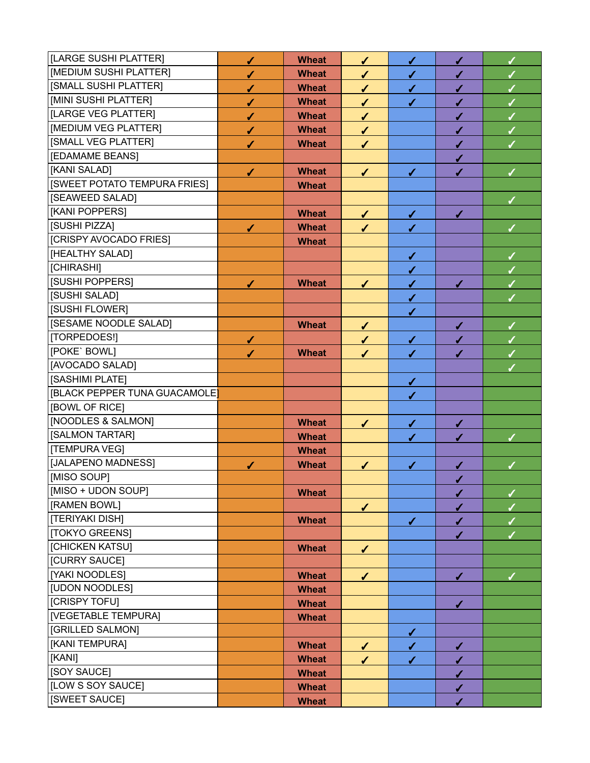| [LARGE SUSHI PLATTER]         | $\checkmark$ | <b>Wheat</b> | $\checkmark$ | $\checkmark$ | ✔            | $\checkmark$ |
|-------------------------------|--------------|--------------|--------------|--------------|--------------|--------------|
| [MEDIUM SUSHI PLATTER]        | $\checkmark$ | <b>Wheat</b> | ✔            | $\checkmark$ | ✔            |              |
| [SMALL SUSHI PLATTER]         | $\checkmark$ | <b>Wheat</b> | ✔            | $\checkmark$ | ✔            | $\checkmark$ |
| [MINI SUSHI PLATTER]          | ✔            | <b>Wheat</b> | $\checkmark$ | $\checkmark$ | ✔            | $\sqrt{2}$   |
| [LARGE VEG PLATTER]           | ✔            | <b>Wheat</b> | ✔            |              | ✔            | ✓            |
| [MEDIUM VEG PLATTER]          | $\checkmark$ | <b>Wheat</b> | $\checkmark$ |              | $\checkmark$ | $\checkmark$ |
| [SMALL VEG PLATTER]           | ✔            | <b>Wheat</b> | $\checkmark$ |              | ✓            |              |
| [EDAMAME BEANS]               |              |              |              |              | ✔            |              |
| [KANI SALAD]                  | $\checkmark$ | <b>Wheat</b> | $\checkmark$ | $\checkmark$ | ✔            | ✓            |
| [SWEET POTATO TEMPURA FRIES]  |              | <b>Wheat</b> |              |              |              |              |
| [SEAWEED SALAD]               |              |              |              |              |              | ✓            |
| [KANI POPPERS]                |              | <b>Wheat</b> | $\checkmark$ | $\checkmark$ | ✔            |              |
| [SUSHI PIZZA]                 | $\checkmark$ | <b>Wheat</b> | ✔            | $\checkmark$ |              | ✓            |
| [CRISPY AVOCADO FRIES]        |              | <b>Wheat</b> |              |              |              |              |
| [HEALTHY SALAD]               |              |              |              | $\checkmark$ |              | ✓            |
| [CHIRASHI]                    |              |              |              | $\checkmark$ |              | $\checkmark$ |
| [SUSHI POPPERS]               | $\checkmark$ | <b>Wheat</b> | $\checkmark$ | $\checkmark$ | ✓            |              |
| [SUSHI SALAD]                 |              |              |              | $\checkmark$ |              |              |
| [SUSHI FLOWER]                |              |              |              | $\checkmark$ |              |              |
| [SESAME NOODLE SALAD]         |              | <b>Wheat</b> | $\checkmark$ |              | ✔            | $\checkmark$ |
| [TORPEDOES!]                  | $\checkmark$ |              | ✔            | $\checkmark$ | $\checkmark$ |              |
| [POKE` BOWL]                  | ✔            | <b>Wheat</b> | $\checkmark$ | $\checkmark$ | ✔            |              |
| [AVOCADO SALAD]               |              |              |              |              |              |              |
| [SASHIMI PLATE]               |              |              |              | $\checkmark$ |              |              |
| [BLACK PEPPER TUNA GUACAMOLE] |              |              |              | ✔            |              |              |
| [BOWL OF RICE]                |              |              |              |              |              |              |
| [NOODLES & SALMON]            |              | <b>Wheat</b> | $\checkmark$ | $\checkmark$ | ✓            |              |
| [SALMON TARTAR]               |              | <b>Wheat</b> |              | $\checkmark$ | ✔            |              |
| [TEMPURA VEG]                 |              | <b>Wheat</b> |              |              |              |              |
| [JALAPENO MADNESS]            | ✔            | <b>Wheat</b> | $\checkmark$ | ✔            | √            |              |
| [MISO SOUP]                   |              |              |              |              | √            |              |
| [MISO + UDON SOUP]            |              | <b>Wheat</b> |              |              | ✔            | ✓            |
| [RAMEN BOWL]                  |              |              | $\checkmark$ |              | ✔            |              |
| [TERIYAKI DISH]               |              | <b>Wheat</b> |              | $\checkmark$ | ✔            |              |
| [TOKYO GREENS]                |              |              |              |              | ✔            |              |
| <b>[CHICKEN KATSU]</b>        |              | <b>Wheat</b> | $\checkmark$ |              |              |              |
| [CURRY SAUCE]                 |              |              |              |              |              |              |
| [YAKI NOODLES]                |              | <b>Wheat</b> | $\checkmark$ |              | ✓            | $\checkmark$ |
| [UDON NOODLES]                |              | <b>Wheat</b> |              |              |              |              |
| [CRISPY TOFU]                 |              | <b>Wheat</b> |              |              | ✔            |              |
| [VEGETABLE TEMPURA]           |              | <b>Wheat</b> |              |              |              |              |
| [GRILLED SALMON]              |              |              |              | $\checkmark$ |              |              |
| [KANI TEMPURA]                |              | <b>Wheat</b> | $\checkmark$ | $\checkmark$ | ✓            |              |
| [KANI]                        |              | <b>Wheat</b> | ✔            | $\checkmark$ | ✔            |              |
| [SOY SAUCE]                   |              | <b>Wheat</b> |              |              | $\checkmark$ |              |
| [LOW S SOY SAUCE]             |              | <b>Wheat</b> |              |              | ✔            |              |
| [SWEET SAUCE]                 |              | <b>Wheat</b> |              |              | ✔            |              |